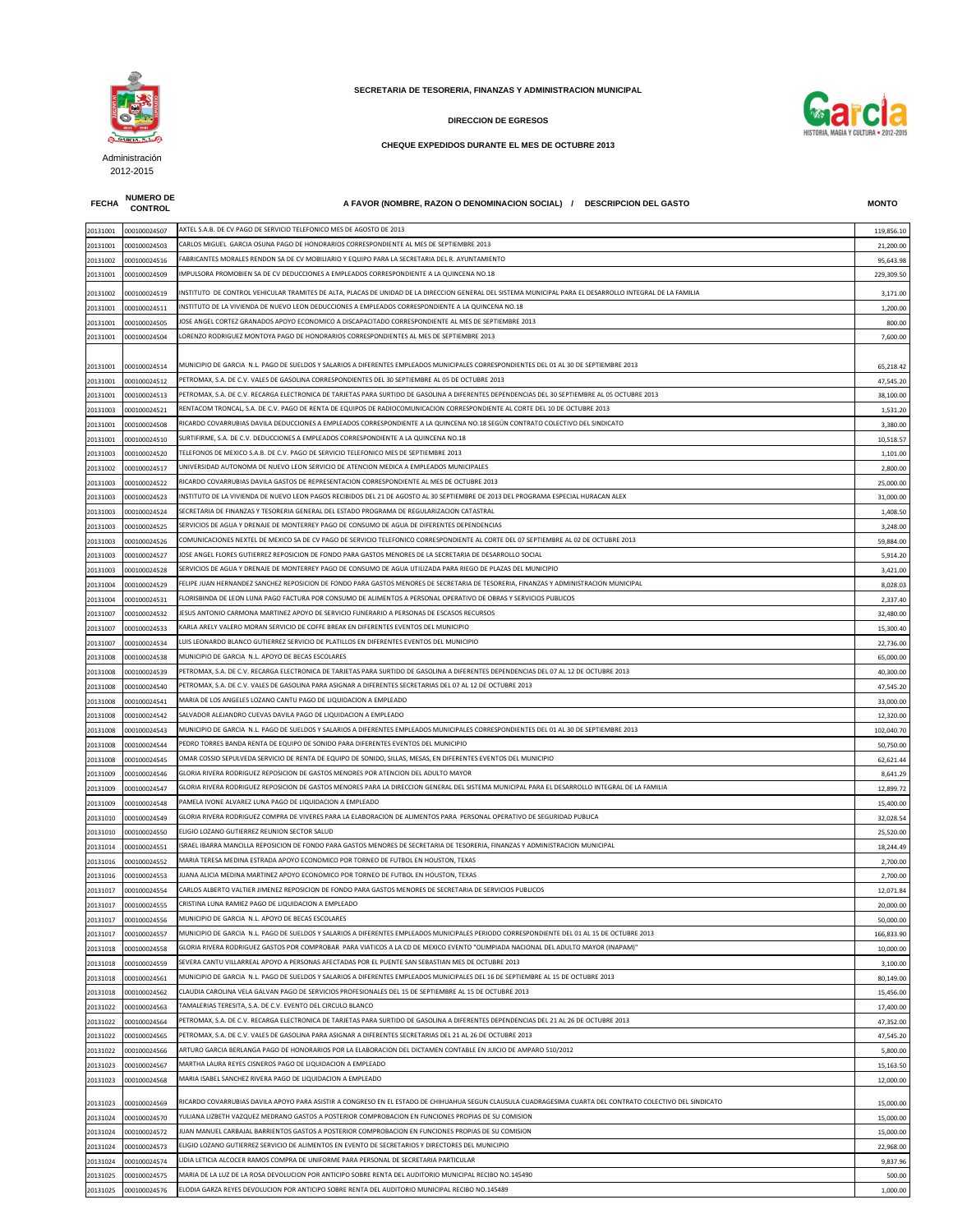## **FECHA NUMERO DE**

**CONTROL A FAVOR (NOMBRE, RAZON O DENOMINACION SOCIAL) / DESCRIPCION DEL GASTO MONTO**

| 20131001 | 000100024507 | AXTEL S.A.B. DE CV PAGO DE SERVICIO TELEFONICO MES DE AGOSTO DE 2013                                                                                       | 119,856.10 |
|----------|--------------|------------------------------------------------------------------------------------------------------------------------------------------------------------|------------|
| 20131001 | 000100024503 | CARLOS MIGUEL GARCIA OSUNA PAGO DE HONORARIOS CORRESPONDIENTE AL MES DE SEPTIEMBRE 2013                                                                    | 21,200.00  |
| 20131002 | 000100024516 | FABRICANTES MORALES RENDON SA DE CV MOBILIARIO Y EQUIPO PARA LA SECRETARIA DEL R. AYUNTAMIENTO                                                             | 95,643.98  |
| 20131001 | 000100024509 | MPULSORA PROMOBIEN SA DE CV DEDUCCIONES A EMPLEADOS CORRESPONDIENTE A LA QUINCENA NO.18                                                                    | 229,309.50 |
| 20131002 | 000100024519 | NSTITUTO DE CONTROL VEHICULAR TRAMITES DE ALTA, PLACAS DE UNIDAD DE LA DIRECCION GENERAL DEL SISTEMA MUNICIPAL PARA EL DESARROLLO INTEGRAL DE LA FAMILIA   | 3,171.00   |
| 20131001 | 000100024511 | NSTITUTO DE LA VIVIENDA DE NUEVO LEON DEDUCCIONES A EMPLEADOS CORRESPONDIENTE A LA QUINCENA NO.18                                                          | 1,200.00   |
| 20131001 | 000100024505 | IOSE ANGEL CORTEZ GRANADOS APOYO ECONOMICO A DISCAPACITADO CORRESPONDIENTE AL MES DE SEPTIEMBRE 2013                                                       | 800.00     |
| 20131001 | 000100024504 | ORENZO RODRIGUEZ MONTOYA PAGO DE HONORARIOS CORRESPONDIENTES AL MES DE SEPTIEMBRE 2013.                                                                    | 7,600.00   |
|          |              |                                                                                                                                                            |            |
|          |              | MUNICIPIO DE GARCIA N.L. PAGO DE SUELDOS Y SALARIOS A DIFERENTES EMPLEADOS MUNICIPALES CORRESPONDIENTES DEL 01 AL 30 DE SEPTIEMBRE 2013                    |            |
| 20131001 | 000100024514 | PETROMAX, S.A. DE C.V. VALES DE GASOLINA CORRESPONDIENTES DEL 30 SEPTIEMBRE AL 05 DE OCTUBRE 2013                                                          | 65,218.42  |
| 20131001 | 000100024512 | PETROMAX, S.A. DE C.V. RECARGA ELECTRONICA DE TARJETAS PARA SURTIDO DE GASOLINA A DIFERENTES DEPENDENCIAS DEL 30 SEPTIEMBRE AL 05 OCTUBRE 2013             | 47,545.20  |
| 20131001 | 000100024513 |                                                                                                                                                            | 38,100.00  |
| 20131003 | 000100024521 | RENTACOM TRONCAL, S.A. DE C.V. PAGO DE RENTA DE EQUIPOS DE RADIOCOMUNICACION CORRESPONDIENTE AL CORTE DEL 10 DE OCTUBRE 2013                               | 1,531.20   |
| 20131001 | 000100024508 | RICARDO COVARRUBIAS DAVILA DEDUCCIONES A EMPLEADOS CORRESPONDIENTE A LA QUINCENA NO.18 SEGÚN CONTRATO COLECTIVO DEL SINDICATO                              | 3,380.00   |
| 20131001 | 000100024510 | SURTIFIRME, S.A. DE C.V. DEDUCCIONES A EMPLEADOS CORRESPONDIENTE A LA QUINCENA NO.18                                                                       | 10,518.57  |
| 20131003 | 000100024520 | TELEFONOS DE MEXICO S.A.B. DE C.V. PAGO DE SERVICIO TELEFONICO MES DE SEPTIEMBRE 2013                                                                      | 1,101.00   |
| 20131002 | 000100024517 | UNIVERSIDAD AUTONOMA DE NUEVO LEON SERVICIO DE ATENCION MEDICA A EMPLEADOS MUNICIPALES                                                                     | 2,800.00   |
| 20131003 | 000100024522 | RICARDO COVARRUBIAS DAVILA GASTOS DE REPRESENTACION CORRESPONDIENTE AL MES DE OCTUBRE 2013                                                                 | 25,000.00  |
| 20131003 | 000100024523 | NSTITUTO DE LA VIVIENDA DE NUEVO LEON PAGOS RECIBIDOS DEL 21 DE AGOSTO AL 30 SEPTIEMBRE DE 2013 DEL PROGRAMA ESPECIAL HURACAN ALEX                         | 31,000.00  |
| 20131003 | 000100024524 | SECRETARIA DE FINANZAS Y TESORERIA GENERAL DEL ESTADO PROGRAMA DE REGULARIZACION CATASTRAL                                                                 | 1,408.50   |
| 20131003 | 000100024525 | SERVICIOS DE AGUA Y DRENAJE DE MONTERREY PAGO DE CONSUMO DE AGUA DE DIFERENTES DEPENDENCIAS                                                                | 3,248.00   |
| 20131003 | 000100024526 | COMUNICACIONES NEXTEL DE MEXICO SA DE CV PAGO DE SERVICIO TELEFONICO CORRESPONDIENTE AL CORTE DEL 07 SEPTIEMBRE AL 02 DE OCTUBRE 2013                      | 59,884.00  |
| 20131003 | 000100024527 | OSE ANGEL FLORES GUTIERREZ REPOSICION DE FONDO PARA GASTOS MENORES DE LA SECRETARIA DE DESARROLLO SOCIAL                                                   | 5,914.20   |
| 20131003 | 000100024528 | SERVICIOS DE AGUA Y DRENAJE DE MONTERREY PAGO DE CONSUMO DE AGUA UTILIZADA PARA RIEGO DE PLAZAS DEL MUNICIPIO                                              | 3,421.00   |
| 20131004 | 000100024529 | FELIPE JUAN HERNANDEZ SANCHEZ REPOSICION DE FONDO PARA GASTOS MENORES DE SECRETARIA DE TESORERIA, FINANZAS Y ADMINISTRACION MUNICIPAL                      | 8,028.03   |
| 20131004 | 000100024531 | FLORISBINDA DE LEON LUNA PAGO FACTURA POR CONSUMO DE ALIMENTOS A PERSONAL OPERATIVO DE OBRAS Y SERVICIOS PUBLICOS                                          | 2,337.40   |
| 20131007 | 000100024532 | ESUS ANTONIO CARMONA MARTINEZ APOYO DE SERVICIO FUNERARIO A PERSONAS DE ESCASOS RECURSOS                                                                   | 32,480.00  |
| 20131007 | 000100024533 | KARLA ARELY VALERO MORAN SERVICIO DE COFFE BREAK EN DIFERENTES EVENTOS DEL MUNICIPIO                                                                       | 15,300.40  |
| 20131007 | 000100024534 | LUIS LEONARDO BLANCO GUTIERREZ SERVICIO DE PLATILLOS EN DIFERENTES EVENTOS DEL MUNICIPIO                                                                   | 22,736.00  |
| 20131008 | 000100024538 | MUNICIPIO DE GARCIA N.L. APOYO DE BECAS ESCOLARES                                                                                                          | 65,000.00  |
| 20131008 | 000100024539 | PETROMAX, S.A. DE C.V. RECARGA ELECTRONICA DE TARJETAS PARA SURTIDO DE GASOLINA A DIFERENTES DEPENDENCIAS DEL 07 AL 12 DE OCTUBRE 2013                     | 40,300.00  |
| 20131008 | 000100024540 | PETROMAX, S.A. DE C.V. VALES DE GASOLINA PARA ASIGNAR A DIFERENTES SECRETARIAS DEL 07 AL 12 DE OCTUBRE 2013                                                | 47,545.20  |
| 20131008 | 000100024541 | MARIA DE LOS ANGELES LOZANO CANTU PAGO DE LIQUIDACION A EMPLEADO                                                                                           | 33,000.00  |
| 20131008 | 000100024542 | SALVADOR ALEJANDRO CUEVAS DAVILA PAGO DE LIQUIDACION A EMPLEADO                                                                                            | 12,320.00  |
| 20131008 | 000100024543 | MUNICIPIO DE GARCIA N.L. PAGO DE SUELDOS Y SALARIOS A DIFERENTES EMPLEADOS MUNICIPALES CORRESPONDIENTES DEL 01 AL 30 DE SEPTIEMBRE 2013                    | 102,040.70 |
| 20131008 | 000100024544 | PEDRO TORRES BANDA RENTA DE EQUIPO DE SONIDO PARA DIFERENTES EVENTOS DEL MUNICIPIO                                                                         | 50,750.00  |
| 20131008 | 000100024545 | OMAR COSSIO SEPULVEDA SERVICIO DE RENTA DE EQUIPO DE SONIDO, SILLAS, MESAS, EN DIFERENTES EVENTOS DEL MUNICIPIO                                            | 62,621.44  |
| 20131009 | 000100024546 | GLORIA RIVERA RODRIGUEZ REPOSICION DE GASTOS MENORES POR ATENCION DEL ADULTO MAYOR                                                                         | 8,641.29   |
| 20131009 | 000100024547 | GLORIA RIVERA RODRIGUEZ REPOSICION DE GASTOS MENORES PARA LA DIRECCION GENERAL DEL SISTEMA MUNICIPAL PARA EL DESARROLLO INTEGRAL DE LA FAMILIA             | 12,899.72  |
| 20131009 | 000100024548 | PAMELA IVONE ALVAREZ LUNA PAGO DE LIQUIDACION A EMPLEADO                                                                                                   | 15,400.00  |
| 20131010 | 000100024549 | GLORIA RIVERA RODRIGUEZ COMPRA DE VIVERES PARA LA ELABORACION DE ALIMENTOS PARA PERSONAL OPERATIVO DE SEGURIDAD PUBLICA                                    | 32,028.54  |
| 20131010 | 000100024550 | ELIGIO LOZANO GUTIERREZ REUNION SECTOR SALUD                                                                                                               | 25,520.00  |
| 20131014 | 000100024551 | ISRAEL IBARRA MANCILLA REPOSICION DE FONDO PARA GASTOS MENORES DE SECRETARIA DE TESORERIA, FINANZAS Y ADMINISTRACION MUNICIPAL                             | 18,244.49  |
| 20131016 | 000100024552 | MARIA TERESA MEDINA ESTRADA APOYO ECONOMICO POR TORNEO DE FUTBOL EN HOUSTON, TEXAS                                                                         | 2,700.00   |
| 20131016 | 000100024553 | UANA ALICIA MEDINA MARTINEZ APOYO ECONOMICO POR TORNEO DE FUTBOL EN HOUSTON, TEXAS                                                                         | 2,700.00   |
| 20131017 | 000100024554 | CARLOS ALBERTO VALTIER JIMENEZ REPOSICION DE FONDO PARA GASTOS MENORES DE SECRETARIA DE SERVICIOS PUBLICOS                                                 | 12,071.84  |
| 20131017 | 000100024555 | CRISTINA LUNA RAMIEZ PAGO DE LIQUIDACION A EMPLEADO                                                                                                        | 20,000.00  |
| 20131017 | 000100024556 | MUNICIPIO DE GARCIA N.L. APOYO DE BECAS ESCOLARES                                                                                                          | 50,000.00  |
| 20131017 | 000100024557 | MUNICIPIO DE GARCIA N.L. PAGO DE SUELDOS Y SALARIOS A DIFERENTES EMPLEADOS MUNICIPALES PERIODO CORRESPONDIENTE DEL 01 AL 15 DE OCTUBRE 2013                | 166,833.90 |
| 20131018 | 000100024558 | GLORIA RIVERA RODRIGUEZ GASTOS POR COMPROBAR PARA VIATICOS A LA CD DE MEXICO EVENTO "OLIMPIADA NACIONAL DEL ADULTO MAYOR (INAPAM)"                         | 10,000.00  |
| 20131018 | 000100024559 | SEVERA CANTU VILLARREAL APOYO A PERSONAS AFECTADAS POR EL PUENTE SAN SEBASTIAN MES DE OCTUBRE 2013                                                         | 3,100.00   |
| 20131018 | 000100024561 | MUNICIPIO DE GARCIA N.L. PAGO DE SUELDOS Y SALARIOS A DIFERENTES EMPLEADOS MUNICIPALES DEL 16 DE SEPTIEMBRE AL 15 DE OCTUBRE 2013                          | 80,149.00  |
| 20131018 | 000100024562 | CLAUDIA CAROLINA VELA GALVAN PAGO DE SERVICIOS PROFESIONALES DEL 15 DE SEPTIEMBRE AL 15 DE OCTUBRE 2013                                                    | 15,456.00  |
| 20131022 | 000100024563 | TAMALERIAS TERESITA, S.A. DE C.V. EVENTO DEL CIRCULO BLANCO                                                                                                | 17,400.00  |
| 20131022 | 000100024564 | PETROMAX. S.A. DE C.V. RECARGA ELECTRONICA DE TARJETAS PARA SURTIDO DE GASOLINA A DIFERENTES DEPENDENCIAS DEL 21 AL 26 DE OCTUBRE 2013                     | 47,352.00  |
| 20131022 | 000100024565 | PETROMAX, S.A. DE C.V. VALES DE GASOLINA PARA ASIGNAR A DIFERENTES SECRETARIAS DEL 21 AL 26 DE OCTUBRE 2013                                                | 47,545.20  |
| 20131022 | 000100024566 | ARTURO GARCIA BERLANGA PAGO DE HONORARIOS POR LA ELABORACION DEL DICTAMEN CONTABLE EN JUICIO DE AMPARO 510/2012                                            | 5,800.00   |
| 20131023 | 000100024567 | MARTHA LAURA REYES CISNEROS PAGO DE LIQUIDACION A EMPLEADO                                                                                                 | 15,163.50  |
| 20131023 | 000100024568 | MARIA ISABEL SANCHEZ RIVERA PAGO DE LIQUIDACION A EMPLEADO                                                                                                 | 12,000.00  |
|          |              |                                                                                                                                                            |            |
| 20131023 | 000100024569 | RICARDO COVARRUBIAS DAVILA APOYO PARA ASISTIR A CONGRESO EN EL ESTADO DE CHIHUAHUA SEGUN CLAUSULA CUADRAGESIMA CUARTA DEL CONTRATO COLECTIVO DEL SINDICATO | 15,000.00  |
| 20131024 | 000100024570 | YULIANA LIZBETH VAZQUEZ MEDRANO GASTOS A POSTERIOR COMPROBACION EN FUNCIONES PROPIAS DE SU COMISION                                                        | 15,000.00  |
| 20131024 | 000100024572 | UAN MANUEL CARBAJAL BARRIENTOS GASTOS A POSTERIOR COMPROBACION EN FUNCIONES PROPIAS DE SU COMISION                                                         | 15,000.00  |
| 20131024 | 000100024573 | ELIGIO LOZANO GUTIERREZ SERVICIO DE ALIMENTOS EN EVENTO DE SECRETARIOS Y DIRECTORES DEL MUNICIPIO                                                          | 22,968.00  |
| 20131024 | 000100024574 | LIDIA LETICIA ALCOCER RAMOS COMPRA DE UNIFORME PARA PERSONAL DE SECRETARIA PARTICULAR                                                                      | 9,837.96   |
| 20131025 | 000100024575 | MARIA DE LA LUZ DE LA ROSA DEVOLUCION POR ANTICIPO SOBRE RENTA DEL AUDITORIO MUNICIPAL RECIBO NO.145490                                                    | 500.00     |
| 20131025 | 000100024576 | ELODIA GARZA REYES DEVOLUCION POR ANTICIPO SOBRE RENTA DEL AUDITORIO MUNICIPAL RECIBO NO.145489                                                            | 1,000.00   |

## **SECRETARIA DE TESORERIA, FINANZAS Y ADMINISTRACION MUNICIPAL**



## **DIRECCION DE EGRESOS**

**CHEQUE EXPEDIDOS DURANTE EL MES DE OCTUBRE 2013**



Administración 2012-2015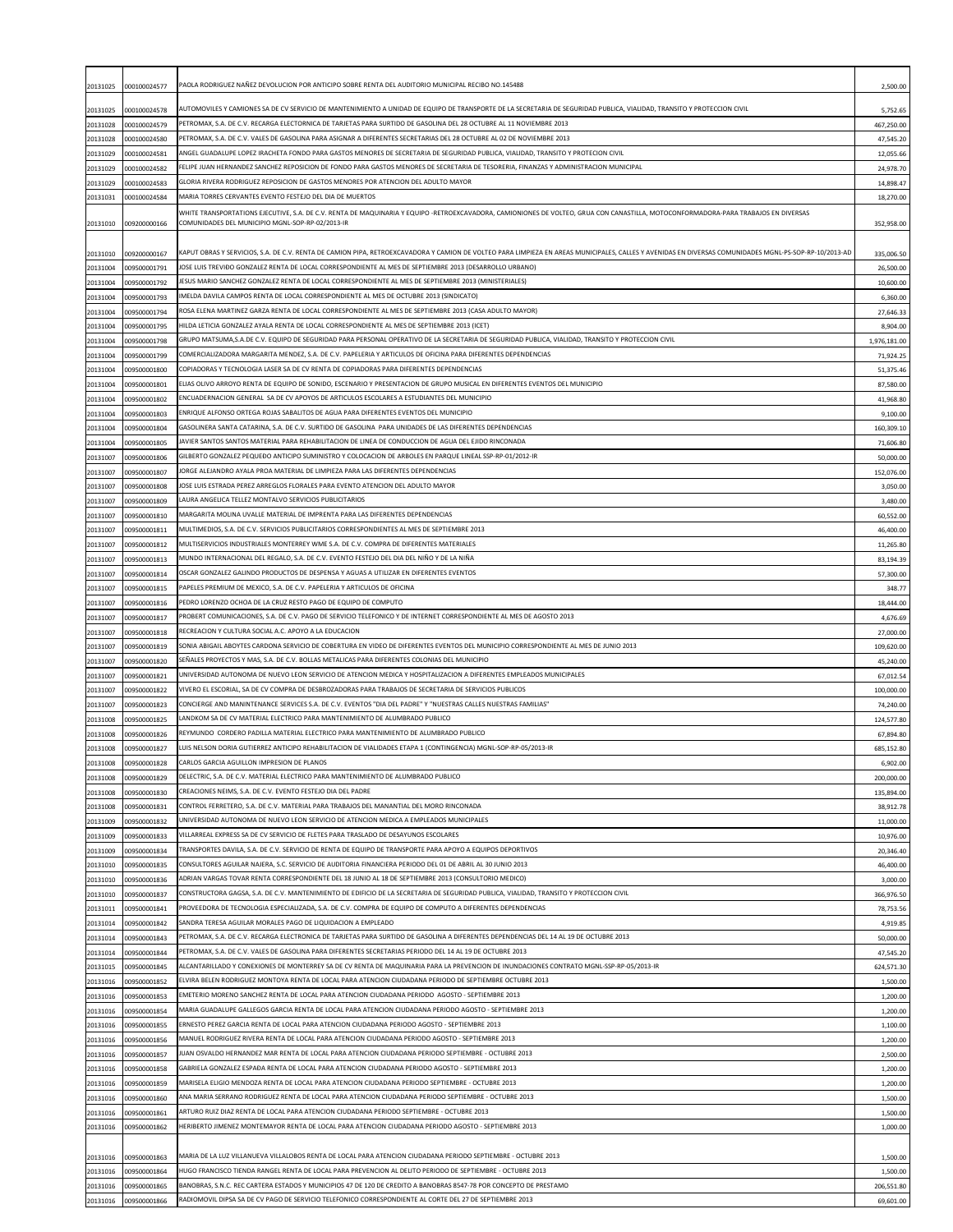| 20131025             | 000100024577                 | PAOLA RODRIGUEZ NAÑEZ DEVOLUCION POR ANTICIPO SOBRE RENTA DEL AUDITORIO MUNICIPAL RECIBO NO.145488                                                                                                                                                                         | 2,500.00                  |
|----------------------|------------------------------|----------------------------------------------------------------------------------------------------------------------------------------------------------------------------------------------------------------------------------------------------------------------------|---------------------------|
| 20131025             | 000100024578                 | AUTOMOVILES Y CAMIONES SA DE CV SERVICIO DE MANTENIMIENTO A UNIDAD DE EQUIPO DE TRANSPORTE DE LA SECRETARIA DE SEGURIDAD PUBLICA, VIALIDAD, TRANSITO Y PROTECCION CIVIL                                                                                                    | 5,752.65                  |
| 20131028             | 000100024579                 | PETROMAX, S.A. DE C.V. RECARGA ELECTORNICA DE TARJETAS PARA SURTIDO DE GASOLINA DEL 28 OCTUBRE AL 11 NOVIEMBRE 2013                                                                                                                                                        | 467,250.00                |
| 20131028             | 000100024580                 | PETROMAX, S.A. DE C.V. VALES DE GASOLINA PARA ASIGNAR A DIFERENTES SECRETARIAS DEL 28 OCTUBRE AL 02 DE NOVIEMBRE 2013                                                                                                                                                      | 47,545.20                 |
| 20131029<br>20131029 | 000100024581<br>000100024582 | ANGEL GUADALUPE LOPEZ IRACHETA FONDO PARA GASTOS MENORES DE SECRETARIA DE SEGURIDAD PUBLICA, VIALIDAD, TRANSITO Y PROTECION CIVIL<br>FELIPE JUAN HERNANDEZ SANCHEZ REPOSICION DE FONDO PARA GASTOS MENORES DE SECRETARIA DE TESORERIA, FINANZAS Y ADMINISTRACION MUNICIPAL | 12,055.66<br>24,978.70    |
| 20131029             | 000100024583                 | GLORIA RIVERA RODRIGUEZ REPOSICION DE GASTOS MENORES POR ATENCION DEL ADULTO MAYOR                                                                                                                                                                                         | 14,898.47                 |
| 20131031             | 000100024584                 | MARIA TORRES CERVANTES EVENTO FESTEJO DEL DIA DE MUERTOS                                                                                                                                                                                                                   | 18,270.00                 |
|                      |                              | WHITE TRANSPORTATIONS EJECUTIVE, S.A. DE C.V. RENTA DE MAQUINARIA Y EQUIPO -RETROEXCAVADORA, CAMIONIONES DE VOLTEO, GRUA CON CANASTILLA, MOTOCONFORMADORA-PARA TRABAJOS EN DIVERSAS                                                                                        |                           |
| 20131010             | 009200000166                 | COMUNIDADES DEL MUNICIPIO MGNL-SOP-RP-02/2013-IR                                                                                                                                                                                                                           | 352,958.00                |
| 20131010             | 009200000167                 | KAPUT OBRAS Y SERVICIOS, S.A. DE C.V. RENTA DE CAMION PIPA, RETROEXCAVADORA Y CAMION DE VOLTEO PARA LIMPIEZA EN AREAS MUNICIPALES, CALLES Y AVENIDAS EN DIVERSAS COMUNIDADES MGNL-PS-SOP-RP-10/2013-AD                                                                     | 335,006.50                |
| 20131004             | 009500001791                 | IOSE LUIS TREVIÐO GONZALEZ RENTA DE LOCAL CORRESPONDIENTE AL MES DE SEPTIEMBRE 2013 (DESARROLLO URBANO)                                                                                                                                                                    | 26,500.00                 |
| 20131004             | 009500001792                 | ESUS MARIO SANCHEZ GONZALEZ RENTA DE LOCAL CORRESPONDIENTE AL MES DE SEPTIEMBRE 2013 (MINISTERIALES)                                                                                                                                                                       | 10,600.00                 |
| 20131004             | 009500001793                 | IMELDA DAVILA CAMPOS RENTA DE LOCAL CORRESPONDIENTE AL MES DE OCTUBRE 2013 (SINDICATO)                                                                                                                                                                                     | 6,360.00                  |
| 20131004             | 009500001794                 | ROSA ELENA MARTINEZ GARZA RENTA DE LOCAL CORRESPONDIENTE AL MES DE SEPTIEMBRE 2013 (CASA ADULTO MAYOR)                                                                                                                                                                     | 27,646.33                 |
| 20131004             | 009500001795                 | HILDA LETICIA GONZALEZ AYALA RENTA DE LOCAL CORRESPONDIENTE AL MES DE SEPTIEMBRE 2013 (ICET)<br>GRUPO MATSUMA.S.A.DE C.V. EQUIPO DE SEGURIDAD PARA PERSONAL OPERATIVO DE LA SECRETARIA DE SEGURIDAD PUBLICA. VIALIDAD. TRANSITO Y PROTECCION CIVIL                         | 8,904.00                  |
| 20131004<br>20131004 | 009500001798<br>009500001799 | COMERCIALIZADORA MARGARITA MENDEZ, S.A. DE C.V. PAPELERIA Y ARTICULOS DE OFICINA PARA DIFERENTES DEPENDENCIAS                                                                                                                                                              | 1,976,181.00<br>71,924.25 |
| 20131004             | 009500001800                 | COPIADORAS Y TECNOLOGIA LASER SA DE CV RENTA DE COPIADORAS PARA DIFERENTES DEPENDENCIAS                                                                                                                                                                                    | 51,375.46                 |
| 20131004             | 009500001801                 | ELIAS OLIVO ARROYO RENTA DE EQUIPO DE SONIDO, ESCENARIO Y PRESENTACION DE GRUPO MUSICAL EN DIFERENTES EVENTOS DEL MUNICIPIO                                                                                                                                                | 87,580.00                 |
| 20131004             | 009500001802                 | ENCUADERNACION GENERAL  SA DE CV APOYOS DE ARTICULOS ESCOLARES A ESTUDIANTES DEL MUNICIPIO                                                                                                                                                                                 | 41,968.80                 |
| 20131004             | 009500001803                 | ENRIQUE ALFONSO ORTEGA ROJAS SABALITOS DE AGUA PARA DIFERENTES EVENTOS DEL MUNICIPIO                                                                                                                                                                                       | 9,100.00                  |
| 20131004             | 009500001804                 | GASOLINERA SANTA CATARINA, S.A. DE C.V. SURTIDO DE GASOLINA  PARA UNIDADES DE LAS DIFERENTES DEPENDENCIAS                                                                                                                                                                  | 160,309.10                |
| 20131004<br>20131007 | 009500001805<br>009500001806 | JAVIER SANTOS SANTOS MATERIAL PARA REHABILITACION DE LINEA DE CONDUCCION DE AGUA DEL EJIDO RINCONADA<br>GILBERTO GONZALEZ PEQUEĐO ANTICIPO SUMINISTRO Y COLOCACION DE ARBOLES EN PARQUE LINEAL SSP-RP-01/2012-IR                                                           | 71,606.80<br>50,000.00    |
| 20131007             | 009500001807                 | ORGE ALEJANDRO AYALA PROA MATERIAL DE LIMPIEZA PARA LAS DIFERENTES DEPENDENCIAS                                                                                                                                                                                            | 152,076.00                |
| 20131007             | 009500001808                 | IOSE LUIS ESTRADA PEREZ ARREGLOS FLORALES PARA EVENTO ATENCION DEL ADULTO MAYOR                                                                                                                                                                                            | 3,050.00                  |
| 20131007             | 009500001809                 | LAURA ANGELICA TELLEZ MONTALVO SERVICIOS PUBLICITARIOS                                                                                                                                                                                                                     | 3,480.00                  |
| 20131007             | 009500001810                 | MARGARITA MOLINA UVALLE MATERIAL DE IMPRENTA PARA LAS DIFERENTES DEPENDENCIAS                                                                                                                                                                                              | 60,552.00                 |
| 20131007             | 009500001811                 | MULTIMEDIOS, S.A. DE C.V. SERVICIOS PUBLICITARIOS CORRESPONDIENTES AL MES DE SEPTIEMBRE 2013                                                                                                                                                                               | 46,400.00                 |
| 20131007             | 009500001812                 | MULTISERVICIOS INDUSTRIALES MONTERREY WME S.A. DE C.V. COMPRA DE DIFERENTES MATERIALES<br>MUNDO INTERNACIONAL DEL REGALO, S.A. DE C.V. EVENTO FESTEJO DEL DIA DEL NIÑO Y DE LA NIÑA                                                                                        | 11,265.80                 |
| 20131007<br>20131007 | 009500001813<br>009500001814 | OSCAR GONZALEZ GALINDO PRODUCTOS DE DESPENSA Y AGUAS A UTILIZAR EN DIFERENTES EVENTOS                                                                                                                                                                                      | 83,194.39<br>57,300.00    |
| 20131007             | 009500001815                 | PAPELES PREMIUM DE MEXICO, S.A. DE C.V. PAPELERIA Y ARTICULOS DE OFICINA                                                                                                                                                                                                   | 348.77                    |
| 20131007             | 009500001816                 | PEDRO LORENZO OCHOA DE LA CRUZ RESTO PAGO DE EQUIPO DE COMPUTO                                                                                                                                                                                                             | 18,444.00                 |
| 20131007             | 009500001817                 | PROBERT COMUNICACIONES, S.A. DE C.V. PAGO DE SERVICIO TELEFONICO Y DE INTERNET CORRESPONDIENTE AL MES DE AGOSTO 2013                                                                                                                                                       | 4,676.69                  |
| 20131007             | 009500001818                 | RECREACION Y CULTURA SOCIAL A.C. APOYO A LA EDUCACION                                                                                                                                                                                                                      | 27,000.00                 |
| 20131007             | 009500001819                 | SONIA ABIGAIL ABOYTES CARDONA SERVICIO DE COBERTURA EN VIDEO DE DIFERENTES EVENTOS DEL MUNICIPIO CORRESPONDIENTE AL MES DE JUNIO 2013<br>SEÑALES PROYECTOS Y MAS, S.A. DE C.V. BOLLAS METALICAS PARA DIFERENTES COLONIAS DEL MUNICIPIO                                     | 109,620.00                |
| 20131007<br>20131007 | 009500001820<br>009500001821 | UNIVERSIDAD AUTONOMA DE NUEVO LEON SERVICIO DE ATENCION MEDICA Y HOSPITALIZACION A DIFERENTES EMPLEADOS MUNICIPALES                                                                                                                                                        | 45,240.00<br>67,012.54    |
| 20131007             | 009500001822                 | VIVERO EL ESCORIAL, SA DE CV COMPRA DE DESBROZADORAS PARA TRABAJOS DE SECRETARIA DE SERVICIOS PUBLICOS                                                                                                                                                                     | 100,000.00                |
| 20131007             | 009500001823                 | CONCIERGE AND MANINTENANCE SERVICES S.A. DE C.V. EVENTOS "DIA DEL PADRE" Y "NUESTRAS CALLES NUESTRAS FAMILIAS"                                                                                                                                                             | 74,240.00                 |
| 20131008             | 009500001825                 | LANDKOM SA DE CV MATERIAL ELECTRICO PARA MANTENIMIENTO DE ALUMBRADO PUBLICO                                                                                                                                                                                                | 124,577.80                |
| 20131008             | 009500001826                 | REYMUNDO  CORDERO PADILLA MATERIAL ELECTRICO PARA MANTENIMIENTO DE ALUMBRADO PUBLICO                                                                                                                                                                                       | 67,894.80                 |
| 20131008             | 009500001827                 | LUIS NELSON DORIA GUTIERREZ ANTICIPO REHABILITACION DE VIALIDADES ETAPA 1 (CONTINGENCIA) MGNL-SOP-RP-05/2013-IR<br>CARLOS GARCIA AGUILLON IMPRESION DE PLANOS                                                                                                              | 685,152.80                |
| 20131008<br>20131008 | 009500001828<br>009500001829 | DELECTRIC, S.A. DE C.V. MATERIAL ELECTRICO PARA MANTENIMIENTO DE ALUMBRADO PUBLICO                                                                                                                                                                                         | 6,902.00<br>200,000.00    |
| 20131008             | 009500001830                 | CREACIONES NEIMS, S.A. DE C.V. EVENTO FESTEJO DIA DEL PADRE                                                                                                                                                                                                                | 135,894.00                |
| 20131008             | 009500001831                 | CONTROL FERRETERO, S.A. DE C.V. MATERIAL PARA TRABAJOS DEL MANANTIAL DEL MORO RINCONADA                                                                                                                                                                                    | 38,912.78                 |
| 20131009             | 009500001832                 | UNIVERSIDAD AUTONOMA DE NUEVO LEON SERVICIO DE ATENCION MEDICA A EMPLEADOS MUNICIPALES                                                                                                                                                                                     | 11,000.00                 |
| 20131009             | 009500001833                 | VILLARREAL EXPRESS SA DE CV SERVICIO DE FLETES PARA TRASLADO DE DESAYUNOS ESCOLARES                                                                                                                                                                                        | 10,976.00                 |
| 20131009             | 009500001834                 | TRANSPORTES DAVILA, S.A. DE C.V. SERVICIO DE RENTA DE EQUIPO DE TRANSPORTE PARA APOYO A EQUIPOS DEPORTIVOS                                                                                                                                                                 | 20,346.40                 |
| 20131010<br>20131010 | 009500001835<br>009500001836 | CONSULTORES AGUILAR NAJERA, S.C. SERVICIO DE AUDITORIA FINANCIERA PERIODO DEL 01 DE ABRIL AL 30 JUNIO 2013<br>(ONRIAN VARGAS TOVAR RENTA CORRESPONDIENTE DEL 18 JUNIO AL 18 DE SEPTIEMBRE 2013 (CONSULTORIO MEDICO                                                         | 46,400.00<br>3,000.00     |
| 20131010             | 009500001837                 | CONSTRUCTORA GAGSA, S.A. DE C.V. MANTENIMIENTO DE EDIFICIO DE LA SECRETARIA DE SEGURIDAD PUBLICA, VIALIDAD, TRANSITO Y PROTECCION CIVIL                                                                                                                                    | 366,976.50                |
| 20131011             | 009500001841                 | PROVEEDORA DE TECNOLOGIA ESPECIALIZADA, S.A. DE C.V. COMPRA DE EQUIPO DE COMPUTO A DIFERENTES DEPENDENCIAS                                                                                                                                                                 | 78,753.56                 |
| 20131014             | 009500001842                 | SANDRA TERESA AGUILAR MORALES PAGO DE LIQUIDACION A EMPLEADO                                                                                                                                                                                                               | 4,919.85                  |
| 20131014             | 009500001843                 | PETROMAX, S.A. DE C.V. RECARGA ELECTRONICA DE TARJETAS PARA SURTIDO DE GASOLINA A DIFERENTES DEPENDENCIAS DEL 14 AL 19 DE OCTUBRE 2013                                                                                                                                     | 50,000.00                 |
| 20131014             | 009500001844                 | PETROMAX, S.A. DE C.V. VALES DE GASOLINA PARA DIFERENTES SECRETARIAS PERIODO DEL 14 AL 19 DE OCTUBRE 2013<br>ALCANTARILLADO Y CONEXIONES DE MONTERREY SA DE CV RENTA DE MAQUINARIA PARA LA PREVENCION DE INUNDACIONES CONTRATO MGNL-SSP-RP-05/2013-IR                      | 47,545.20                 |
| 20131015<br>20131016 | 009500001845<br>009500001852 | ELVIRA BELEN RODRIGUEZ MONTOYA RENTA DE LOCAL PARA ATENCION CIUDADANA PERIODO DE SEPTIEMBRE OCTUBRE 2013                                                                                                                                                                   | 624,571.30<br>1,500.00    |
| 20131016             | 009500001853                 | EMETERIO MORENO SANCHEZ RENTA DE LOCAL PARA ATENCION CIUDADANA PERIODO  AGOSTO - SEPTIEMBRE 2013                                                                                                                                                                           | 1,200.00                  |
| 20131016             | 009500001854                 | MARIA GUADALUPE GALLEGOS GARCIA RENTA DE LOCAL PARA ATENCION CIUDADANA PERIODO AGOSTO - SEPTIEMBRE 2013                                                                                                                                                                    | 1,200.00                  |
| 20131016             | 009500001855                 | ERNESTO PEREZ GARCIA RENTA DE LOCAL PARA ATENCION CIUDADANA PERIODO AGOSTO - SEPTIEMBRE 2013                                                                                                                                                                               | 1,100.00                  |
| 20131016             | 009500001856                 | MANUEL RODRIGUEZ RIVERA RENTA DE LOCAL PARA ATENCION CIUDADANA PERIODO AGOSTO - SEPTIEMBRE 2013                                                                                                                                                                            | 1,200.00                  |
| 20131016             | 009500001857                 | UJAN OSVALDO HERNANDEZ MAR RENTA DE LOCAL PARA ATENCION CIUDADANA PERIODO SEPTIEMBRE - OCTUBRE 2013                                                                                                                                                                        | 2,500.00                  |
| 20131016<br>20131016 | 009500001858<br>009500001859 | GABRIELA GONZALEZ ESPAÐA RENTA DE LOCAL PARA ATENCION CIUDADANA PERIODO AGOSTO - SEPTIEMBRE 2013<br>MARISELA ELIGIO MENDOZA RENTA DE LOCAL PARA ATENCION CIUDADANA PERIODO SEPTIEMBRE - OCTUBRE 2013                                                                       | 1,200.00<br>1,200.00      |
| 20131016             | 009500001860                 | ANA MARIA SERRANO RODRIGUEZ RENTA DE LOCAL PARA ATENCION CIUDADANA PERIODO SEPTIEMBRE - OCTUBRE 2013                                                                                                                                                                       | 1,500.00                  |
| 20131016             | 009500001861                 | ARTURO RUIZ DIAZ RENTA DE LOCAL PARA ATENCION CIUDADANA PERIODO SEPTIEMBRE - OCTUBRE 2013                                                                                                                                                                                  | 1,500.00                  |
| 20131016             | 009500001862                 | HERIBERTO JIMENEZ MONTEMAYOR RENTA DE LOCAL PARA ATENCION CIUDADANA PERIODO AGOSTO - SEPTIEMBRE 2013                                                                                                                                                                       | 1,000.00                  |
|                      |                              |                                                                                                                                                                                                                                                                            |                           |
| 20131016             | 009500001863                 | MARIA DE LA LUZ VILLANUEVA VILLALOBOS RENTA DE LOCAL PARA ATENCION CIUDADANA PERIODO SEPTIEMBRE - OCTUBRE 2013                                                                                                                                                             | 1,500.00                  |
| 20131016             | 009500001864                 | HUGO FRANCISCO TIENDA RANGEL RENTA DE LOCAL PARA PREVENCION AL DELITO PERIODO DE SEPTIEMBRE - OCTUBRE 2013<br>BANOBRAS, S.N.C. REC CARTERA ESTADOS Y MUNICIPIOS 47 DE 120 DE CREDITO A BANOBRAS 8547-78 POR CONCEPTO DE PRESTAMO                                           | 1,500.00                  |
| 20131016<br>20131016 | 009500001865<br>009500001866 | RADIOMOVIL DIPSA SA DE CV PAGO DE SERVICIO TELEFONICO CORRESPONDIENTE AL CORTE DEL 27 DE SEPTIEMBRE 2013                                                                                                                                                                   | 206,551.80<br>69,601.00   |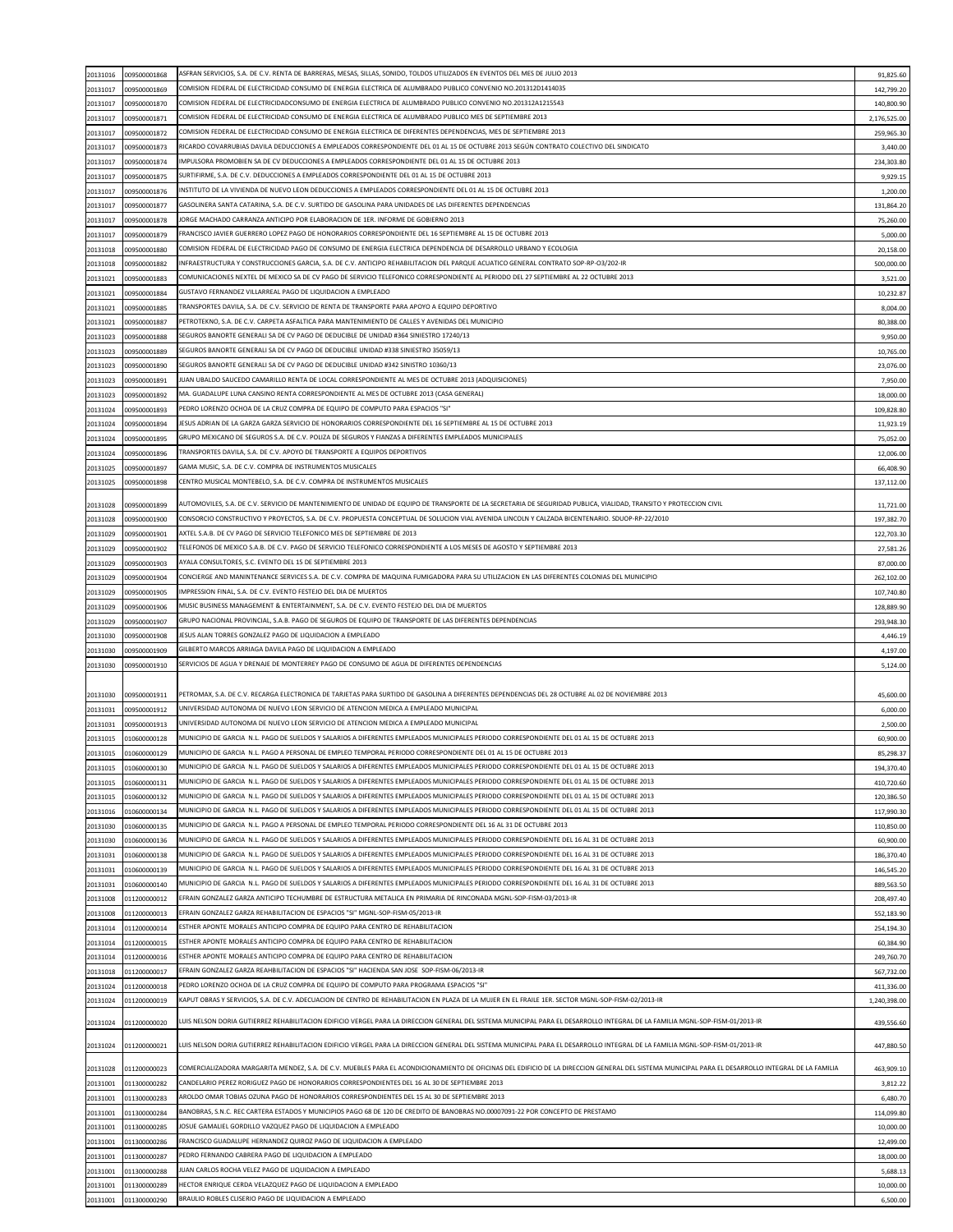| 20131016             | 009500001868                 | ASFRAN SERVICIOS, S.A. DE C.V. RENTA DE BARRERAS, MESAS, SILLAS, SONIDO, TOLDOS UTILIZADOS EN EVENTOS DEL MES DE JULIO 2013                                                                        | 91,825.60             |
|----------------------|------------------------------|----------------------------------------------------------------------------------------------------------------------------------------------------------------------------------------------------|-----------------------|
|                      | 009500001869                 | COMISION FEDERAL DE ELECTRICIDAD CONSUMO DE ENERGIA ELECTRICA DE ALUMBRADO PUBLICO CONVENIO NO.201312D1414035                                                                                      |                       |
| 20131017             |                              |                                                                                                                                                                                                    | 142,799.20            |
| 20131017             | 009500001870                 | COMISION FEDERAL DE ELECTRICIDADCONSUMO DE ENERGIA ELECTRICA DE ALUMBRADO PUBLICO CONVENIO NO.201312A1215543                                                                                       | 140,800.90            |
| 20131017             | 009500001871                 | COMISION FEDERAL DE ELECTRICIDAD CONSUMO DE ENERGIA ELECTRICA DE ALUMBRADO PUBLICO MES DE SEPTIEMBRE 2013                                                                                          | 2,176,525.00          |
| 20131017             | 009500001872                 | COMISION FEDERAL DE ELECTRICIDAD CONSUMO DE ENERGIA ELECTRICA DE DIFERENTES DEPENDENCIAS, MES DE SEPTIEMBRE 2013                                                                                   | 259,965.30            |
| 20131017             | 009500001873                 | RICARDO COVARRUBIAS DAVILA DEDUCCIONES A EMPLEADOS CORRESPONDIENTE DEL 01 AL 15 DE OCTUBRE 2013 SEGÚN CONTRATO COLECTIVO DEL SINDICATO                                                             | 3,440.00              |
| 20131017             | 009500001874                 | IMPULSORA PROMOBIEN SA DE CV DEDUCCIONES A EMPLEADOS CORRESPONDIENTE DEL 01 AL 15 DE OCTUBRE 2013                                                                                                  | 234,303.80            |
| 20131017             | 009500001875                 | SURTIFIRME, S.A. DE C.V. DEDUCCIONES A EMPLEADOS CORRESPONDIENTE DEL 01 AL 15 DE OCTUBRE 2013                                                                                                      | 9,929.15              |
| 20131017             | 009500001876                 | INSTITUTO DE LA VIVIENDA DE NUEVO LEON DEDUCCIONES A EMPLEADOS CORRESPONDIENTE DEL 01 AL 15 DE OCTUBRE 2013                                                                                        | 1,200.00              |
| 20131017             | 009500001877                 | GASOLINERA SANTA CATARINA, S.A. DE C.V. SURTIDO DE GASOLINA PARA UNIDADES DE LAS DIFERENTES DEPENDENCIAS                                                                                           | 131,864.20            |
| 20131017             | 009500001878                 | JORGE MACHADO CARRANZA ANTICIPO POR ELABORACION DE 1ER. INFORME DE GOBIERNO 2013                                                                                                                   | 75,260.00             |
| 20131017             | 009500001879                 | FRANCISCO JAVIER GUERRERO LOPEZ PAGO DE HONORARIOS CORRESPONDIENTE DEL 16 SEPTIEMBRE AL 15 DE OCTUBRE 2013                                                                                         | 5,000.00              |
| 20131018             | 009500001880                 | COMISION FEDERAL DE ELECTRICIDAD PAGO DE CONSUMO DE ENERGIA ELECTRICA DEPENDENCIA DE DESARROLLO URBANO Y ECOLOGIA                                                                                  | 20,158.00             |
| 20131018             | 009500001882                 | INFRAESTRUCTURA Y CONSTRUCCIONES GARCIA, S.A. DE C.V. ANTICIPO REHABILITACION DEL PARQUE ACUATICO GENERAL CONTRATO SOP-RP-O3/202-IR                                                                | 500,000.00            |
| 20131021             | 009500001883                 | COMUNICACIONES NEXTEL DE MEXICO SA DE CV PAGO DE SERVICIO TELEFONICO CORRESPONDIENTE AL PERIODO DEL 27 SEPTIEMBRE AL 22 OCTUBRE 2013                                                               | 3,521.00              |
| 20131021             | 009500001884                 | GUSTAVO FERNANDEZ VILLARREAL PAGO DE LIQUIDACION A EMPLEADO                                                                                                                                        | 10,232.87             |
| 20131021             | 009500001885                 | TRANSPORTES DAVILA, S.A. DE C.V. SERVICIO DE RENTA DE TRANSPORTE PARA APOYO A EQUIPO DEPORTIVO                                                                                                     | 8,004.00              |
|                      |                              | PETROTEKNO, S.A. DE C.V. CARPETA ASFALTICA PARA MANTENIMIENTO DE CALLES Y AVENIDAS DEL MUNICIPIO                                                                                                   |                       |
| 20131021             | 009500001887                 | SEGUROS BANORTE GENERALI SA DE CV PAGO DE DEDUCIBLE DE UNIDAD #364 SINIESTRO 17240/13                                                                                                              | 80,388.00             |
| 20131023             | 009500001888                 |                                                                                                                                                                                                    | 9,950.00              |
| 20131023             | 009500001889                 | SEGUROS BANORTE GENERALI SA DE CV PAGO DE DEDUCIBLE UNIDAD #338 SINIESTRO 35059/13                                                                                                                 | 10,765.00             |
| 20131023             | 009500001890                 | SEGUROS BANORTE GENERALI SA DE CV PAGO DE DEDUCIBLE UNIDAD #342 SINISTRO 10360/13                                                                                                                  | 23,076.00             |
| 20131023             | 009500001891                 | UAN UBALDO SAUCEDO CAMARILLO RENTA DE LOCAL CORRESPONDIENTE AL MES DE OCTUBRE 2013 (ADQUISICIONES)                                                                                                 | 7,950.00              |
| 20131023             | 009500001892                 | MA. GUADALUPE LUNA CANSINO RENTA CORRESPONDIENTE AL MES DE OCTUBRE 2013 (CASA GENERAL)                                                                                                             | 18,000.00             |
| 20131024             | 009500001893                 | PEDRO LORENZO OCHOA DE LA CRUZ COMPRA DE EQUIPO DE COMPUTO PARA ESPACIOS "SI"                                                                                                                      | 109,828.80            |
| 20131024             | 009500001894                 | IESUS ADRIAN DE LA GARZA GARZA SERVICIO DE HONORARIOS CORRESPONDIENTE DEL 16 SEPTIEMBRE AL 15 DE OCTUBRE 2013                                                                                      | 11,923.19             |
| 20131024             | 009500001895                 | GRUPO MEXICANO DE SEGUROS S.A. DE C.V. POLIZA DE SEGUROS Y FIANZAS A DIFERENTES EMPLEADOS MUNICIPALES                                                                                              | 75,052.00             |
| 20131024             | 009500001896                 | TRANSPORTES DAVILA, S.A. DE C.V. APOYO DE TRANSPORTE A EQUIPOS DEPORTIVOS                                                                                                                          | 12,006.00             |
| 20131025             | 009500001897                 | GAMA MUSIC, S.A. DE C.V. COMPRA DE INSTRUMENTOS MUSICALES                                                                                                                                          | 66,408.90             |
| 20131025             | 009500001898                 | CENTRO MUSICAL MONTEBELO, S.A. DE C.V. COMPRA DE INSTRUMENTOS MUSICALES                                                                                                                            | 137,112.00            |
|                      |                              |                                                                                                                                                                                                    |                       |
| 20131028             | 009500001899                 | AUTOMOVILES, S.A. DE C.V. SERVICIO DE MANTENIMIENTO DE UNIDAD DE EQUIPO DE TRANSPORTE DE LA SECRETARIA DE SEGURIDAD PUBLICA, VIALIDAD, TRANSITO Y PROTECCION CIVIL                                 | 11,721.00             |
| 20131028             | 009500001900                 | CONSORCIO CONSTRUCTIVO Y PROYECTOS, S.A. DE C.V. PROPUESTA CONCEPTUAL DE SOLUCION VIAL AVENIDA LINCOLN Y CALZADA BICENTENARIO. SDUOP-RP-22/2010                                                    | 197,382.70            |
| 20131029             | 009500001901                 | AXTEL S.A.B. DE CV PAGO DE SERVICIO TELEFONICO MES DE SEPTIEMBRE DE 2013                                                                                                                           | 122,703.30            |
| 20131029             | 009500001902                 | TELEFONOS DE MEXICO S.A.B. DE C.V. PAGO DE SERVICIO TELEFONICO CORRESPONDIENTE A LOS MESES DE AGOSTO Y SEPTIEMBRE 2013                                                                             | 27,581.26             |
| 20131029             | 009500001903                 | AYALA CONSULTORES, S.C. EVENTO DEL 15 DE SEPTIEMBRE 2013                                                                                                                                           | 87,000.00             |
| 20131029             | 009500001904                 | CONCIERGE AND MANINTENANCE SERVICES S.A. DE C.V. COMPRA DE MAQUINA FUMIGADORA PARA SU UTILIZACION EN LAS DIFERENTES COLONIAS DEL MUNICIPIO                                                         | 262,102.00            |
| 20131029             | 009500001905                 | MPRESSION FINAL, S.A. DE C.V. EVENTO FESTEJO DEL DIA DE MUERTOS                                                                                                                                    | 107,740.80            |
| 20131029             | 009500001906                 | MUSIC BUSINESS MANAGEMENT & ENTERTAINMENT, S.A. DE C.V. EVENTO FESTEJO DEL DIA DE MUERTOS                                                                                                          | 128,889.90            |
| 20131029             | 009500001907                 | GRUPO NACIONAL PROVINCIAL, S.A.B. PAGO DE SEGUROS DE EQUIPO DE TRANSPORTE DE LAS DIFERENTES DEPENDENCIAS                                                                                           | 293,948.30            |
|                      |                              | IESUS ALAN TORRES GONZALEZ PAGO DE LIQUIDACION A EMPLEADO                                                                                                                                          |                       |
| 20131030             | 009500001908                 | GILBERTO MARCOS ARRIAGA DAVILA PAGO DE LIQUIDACION A EMPLEADO                                                                                                                                      | 4,446.19              |
| 20131030             | 009500001909                 |                                                                                                                                                                                                    | 4,197.00              |
| 20131030             | 009500001910                 | SERVICIOS DE AGUA Y DRENAJE DE MONTERREY PAGO DE CONSUMO DE AGUA DE DIFERENTES DEPENDENCIAS                                                                                                        | 5,124.00              |
|                      |                              |                                                                                                                                                                                                    |                       |
| 20131030             | 009500001911                 | PETROMAX, S.A. DE C.V. RECARGA ELECTRONICA DE TARJETAS PARA SURTIDO DE GASOLINA A DIFERENTES DEPENDENCIAS DEL 28 OCTUBRE AL 02 DE NOVIEMBRE 2013                                                   | 45,600.00             |
| 20131031             | 009500001912                 | JNIVERSIDAD AUTONOMA DE NUEVO LEON SERVICIO DE ATENCION MEDICA A EMPLEADO MUNICIPAL                                                                                                                | 6,000.00              |
| 20131031             | 009500001913                 | JNIVERSIDAD AUTONOMA DE NUEVO LEON SERVICIO DE ATENCION MEDICA A EMPLEADO MUNICIPAL                                                                                                                | 2,500.00              |
| 20131015             | 010600000128                 | MUNICIPIO DE GARCIA N.L. PAGO DE SUELDOS Y SALARIOS A DIFERENTES EMPLEADOS MUNICIPALES PERIODO CORRESPONDIENTE DEL 01 AL 15 DE OCTUBRE 2013                                                        | 60,900.00             |
| 20131015             | 010600000129                 | MUNICIPIO DE GARCIA N.L. PAGO A PERSONAL DE EMPLEO TEMPORAL PERIODO CORRESPONDIENTE DEL 01 AL 15 DE OCTUBRE 2013                                                                                   | 85,298.37             |
| 20131015             | 010600000130                 | MUNICIPIO DE GARCIA N.L. PAGO DE SUELDOS Y SALARIOS A DIFERENTES EMPLEADOS MUNICIPALES PERIODO CORRESPONDIENTE DEL 01 AL 15 DE OCTUBRE 2013                                                        | 194,370.40            |
| 20131015             | 010600000131                 | MUNICIPIO DE GARCIA N.L. PAGO DE SUELDOS Y SALARIOS A DIFERENTES EMPLEADOS MUNICIPALES PERIODO CORRESPONDIENTE DEL 01 AL 15 DE OCTUBRE 2013                                                        | 410,720.60            |
| 20131015             | 010600000132                 | MUNICIPIO DE GARCIA N.L. PAGO DE SUELDOS Y SALARIOS A DIFERENTES EMPLEADOS MUNICIPALES PERIODO CORRESPONDIENTE DEL 01 AL 15 DE OCTUBRE 2013                                                        | 120,386.50            |
| 20131016             | 010600000134                 | MUNICIPIO DE GARCIA N.L. PAGO DE SUELDOS Y SALARIOS A DIFERENTES EMPLEADOS MUNICIPALES PERIODO CORRESPONDIENTE DEL 01 AL 15 DE OCTUBRE 2013                                                        | 117,990.30            |
| 20131030             | 010600000135                 | MUNICIPIO DE GARCIA N.L. PAGO A PERSONAL DE EMPLEO TEMPORAL PERIODO CORRESPONDIENTE DEL 16 AL 31 DE OCTUBRE 2013                                                                                   | 110,850.00            |
| 20131030             | 010600000136                 | MUNICIPIO DE GARCIA N.L. PAGO DE SUELDOS Y SALARIOS A DIFERENTES EMPLEADOS MUNICIPALES PERIODO CORRESPONDIENTE DEL 16 AL 31 DE OCTUBRE 2013                                                        | 60,900.00             |
| 20131031             | 010600000138                 | MUNICIPIO DE GARCIA N.L. PAGO DE SUELDOS Y SALARIOS A DIFERENTES EMPLEADOS MUNICIPALES PERIODO CORRESPONDIENTE DEL 16 AL 31 DE OCTUBRE 2013                                                        | 186,370.40            |
|                      |                              | MUNICIPIO DE GARCIA N.L. PAGO DE SUELDOS Y SALARIOS A DIFERENTES EMPLEADOS MUNICIPALES PERIODO CORRESPONDIENTE DEL 16 AL 31 DE OCTUBRE 2013                                                        |                       |
| 20131031             | 010600000139                 |                                                                                                                                                                                                    | 146,545.20            |
| 20131031             | 010600000140                 | MUNICIPIO DE GARCIA N.L. PAGO DE SUELDOS Y SALARIOS A DIFERENTES EMPLEADOS MUNICIPALES PERIODO CORRESPONDIENTE DEL 16 AL 31 DE OCTUBRE 2013                                                        | 889,563.50            |
| 20131008             | 011200000012                 | EFRAIN GONZALEZ GARZA ANTICIPO TECHUMBRE DE ESTRUCTURA METALICA EN PRIMARIA DE RINCONADA MGNL-SOP-FISM-03/2013-IR                                                                                  | 208,497.40            |
| 20131008             | 011200000013                 | EFRAIN GONZALEZ GARZA REHABILITACION DE ESPACIOS "SI" MGNL-SOP-FISM-05/2013-IR                                                                                                                     | 552,183.90            |
| 20131014             | 011200000014                 | ESTHER APONTE MORALES ANTICIPO COMPRA DE EQUIPO PARA CENTRO DE REHABILITACION                                                                                                                      | 254,194.30            |
| 20131014             | 011200000015                 | ESTHER APONTE MORALES ANTICIPO COMPRA DE EQUIPO PARA CENTRO DE REHABILITACION                                                                                                                      | 60,384.90             |
| 20131014             | 011200000016                 | ESTHER APONTE MORALES ANTICIPO COMPRA DE EQUIPO PARA CENTRO DE REHABILITACION                                                                                                                      | 249,760.70            |
| 20131018             | 011200000017                 | EFRAIN GONZALEZ GARZA REAHBILITACION DE ESPACIOS "SI" HACIENDA SAN JOSE SOP-FISM-06/2013-IR                                                                                                        | 567,732.00            |
| 20131024             | 011200000018                 | PEDRO LORENZO OCHOA DE LA CRUZ COMPRA DE EQUIPO DE COMPUTO PARA PROGRAMA ESPACIOS "SI"                                                                                                             | 411,336.00            |
| 20131024             | 011200000019                 | KAPUT OBRAS Y SERVICIOS, S.A. DE C.V. ADECUACION DE CENTRO DE REHABILITACION EN PLAZA DE LA MUJER EN EL FRAILE 1ER. SECTOR MGNL-SOP-FISM-02/2013-IR                                                | 1,240,398.00          |
|                      |                              |                                                                                                                                                                                                    |                       |
| 20131024             | 011200000020                 | LUIS NELSON DORIA GUTIERREZ REHABILITACION EDIFICIO VERGEL PARA LA DIRECCION GENERAL DEL SISTEMA MUNICIPAL PARA EL DESARROLLO INTEGRAL DE LA FAMILIA MGNL-SOP-FISM-01/2013-IR                      | 439,556.60            |
| 20131024             | 011200000021                 | LUIS NELSON DORIA GUTIERREZ REHABILITACION EDIFICIO VERGEL PARA LA DIRECCION GENERAL DEL SISTEMA MUNICIPAL PARA EL DESARROLLO INTEGRAL DE LA FAMILIA MGNL-SOP-FISM-01/2013-IR                      | 447,880.50            |
|                      |                              |                                                                                                                                                                                                    |                       |
| 20131028             | 011200000023                 | COMERCIALIZADORA MARGARITA MENDEZ, S.A. DE C.V. MUEBLES PARA EL ACONDICIONAMIENTO DE OFICINAS DEL EDIFICIO DE LA DIRECCION GENERAL DEL SISTEMA MUNICIPAL PARA EL DESARROLLO INTEGRAL DE LA FAMILIA | 463,909.10            |
| 20131001             | 011300000282                 | CANDELARIO PEREZ RORIGUEZ PAGO DE HONORARIOS CORRESPONDIENTES DEL 16 AL 30 DE SEPTIEMBRE 2013                                                                                                      | 3,812.22              |
| 20131001             | 011300000283                 | AROLDO OMAR TOBIAS OZUNA PAGO DE HONORARIOS CORRESPONDIENTES DEL 15 AL 30 DE SEPTIEMBRE 2013                                                                                                       | 6,480.70              |
| 20131001             | 011300000284                 | BANOBRAS, S.N.C. REC CARTERA ESTADOS Y MUNICIPIOS PAGO 68 DE 120 DE CREDITO DE BANOBRAS NO.00007091-22 POR CONCEPTO DE PRESTAMO                                                                    | 114,099.80            |
| 20131001             | 011300000285                 | IOSUE GAMALIEL GORDILLO VAZQUEZ PAGO DE LIQUIDACION A EMPLEADO                                                                                                                                     | 10,000.00             |
| 20131001             | 011300000286                 | FRANCISCO GUADALUPE HERNANDEZ QUIROZ PAGO DE LIQUIDACION A EMPLEADO                                                                                                                                | 12,499.00             |
| 20131001             | 011300000287                 | PEDRO FERNANDO CABRERA PAGO DE LIQUIDACION A EMPLEADO                                                                                                                                              | 18,000.00             |
| 20131001             | 011300000288                 | IUAN CARLOS ROCHA VELEZ PAGO DE LIQUIDACION A EMPLEADO                                                                                                                                             | 5,688.13              |
|                      |                              |                                                                                                                                                                                                    |                       |
|                      |                              |                                                                                                                                                                                                    |                       |
| 20131001<br>20131001 | 011300000289<br>011300000290 | HECTOR ENRIQUE CERDA VELAZQUEZ PAGO DE LIQUIDACION A EMPLEADO<br>BRAULIO ROBLES CLISERIO PAGO DE LIQUIDACION A EMPLEADO                                                                            | 10,000.00<br>6,500.00 |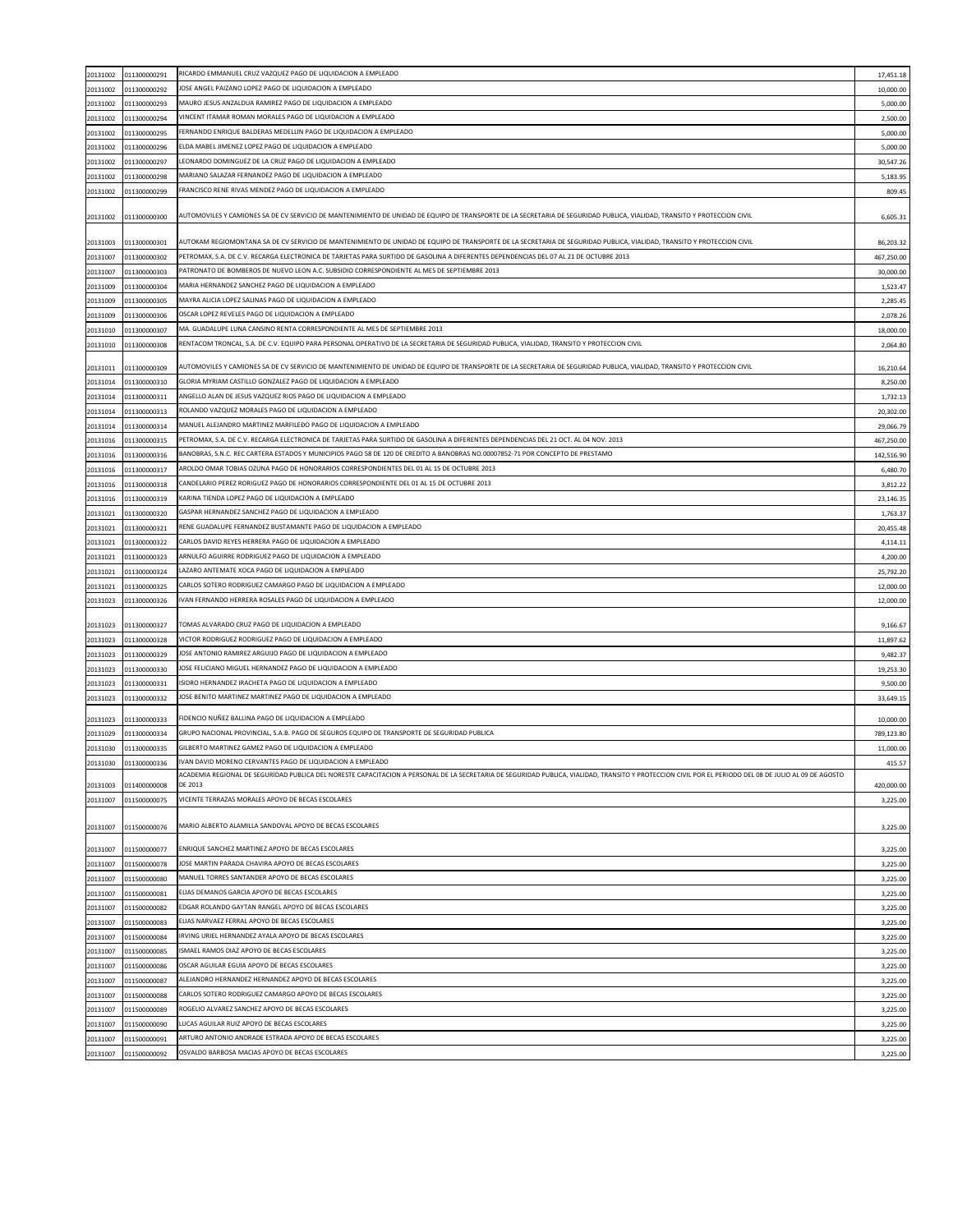| 20131002             | 011300000291                 | RICARDO EMMANUEL CRUZ VAZQUEZ PAGO DE LIQUIDACION A EMPLEADO                                                                                                                                                      | 17,451.18            |
|----------------------|------------------------------|-------------------------------------------------------------------------------------------------------------------------------------------------------------------------------------------------------------------|----------------------|
|                      |                              | JOSE ANGEL PAIZANO LOPEZ PAGO DE LIQUIDACION A EMPLEADO                                                                                                                                                           |                      |
| 20131002             | 011300000292                 |                                                                                                                                                                                                                   | 10,000.00            |
| 20131002             | 011300000293                 | MAURO JESUS ANZALDUA RAMIREZ PAGO DE LIQUIDACION A EMPLEADO                                                                                                                                                       | 5,000.00             |
| 20131002             | 011300000294                 | VINCENT ITAMAR ROMAN MORALES PAGO DE LIQUIDACION A EMPLEADO                                                                                                                                                       | 2,500.00             |
| 20131002             | 011300000295                 | FERNANDO ENRIQUE BALDERAS MEDELLIN PAGO DE LIQUIDACION A EMPLEADO                                                                                                                                                 | 5,000.00             |
| 20131002             | 011300000296                 | ELDA MABEL JIMENEZ LOPEZ PAGO DE LIQUIDACION A EMPLEADO                                                                                                                                                           | 5,000.00             |
| 20131002             | 011300000297                 | EONARDO DOMINGUEZ DE LA CRUZ PAGO DE LIQUIDACION A EMPLEADO                                                                                                                                                       | 30,547.26            |
| 20131002             | 011300000298                 | MARIANO SALAZAR FERNANDEZ PAGO DE LIQUIDACION A EMPLEADO                                                                                                                                                          | 5,183.95             |
|                      |                              | FRANCISCO RENE RIVAS MENDEZ PAGO DE LIQUIDACION A EMPLEADO                                                                                                                                                        |                      |
| 20131002             | 011300000299                 |                                                                                                                                                                                                                   | 809.45               |
| 20131002             | 011300000300                 | AUTOMOVILES Y CAMIONES SA DE CV SERVICIO DE MANTENIMIENTO DE UNIDAD DE EQUIPO DE TRANSPORTE DE LA SECRETARIA DE SEGURIDAD PUBLICA, VIALIDAD, TRANSITO Y PROTECCION CIVIL                                          | 6,605.31             |
| 20131003             | 011300000301                 | AUTOKAM REGIOMONTANA SA DE CV SERVICIO DE MANTENIMIENTO DE UNIDAD DE EQUIPO DE TRANSPORTE DE LA SECRETARIA DE SEGURIDAD PUBLICA, VIALIDAD, TRANSITO Y PROTECCION CIVIL                                            | 86,203.32            |
| 20131007             | 011300000302                 | PETROMAX, S.A. DE C.V. RECARGA ELECTRONICA DE TARJETAS PARA SURTIDO DE GASOLINA A DIFERENTES DEPENDENCIAS DEL 07 AL 21 DE OCTUBRE 2013                                                                            | 467,250.00           |
|                      |                              | PATRONATO DE BOMBEROS DE NUEVO LEON A.C. SUBSIDIO CORRESPONDIENTE AL MES DE SEPTIEMBRE 2013                                                                                                                       |                      |
| 20131007             | 011300000303                 |                                                                                                                                                                                                                   | 30,000.00            |
| 20131009             | 011300000304                 | MARIA HERNANDEZ SANCHEZ PAGO DE LIQUIDACION A EMPLEADO                                                                                                                                                            | 1,523.47             |
| 20131009             | 011300000305                 | MAYRA ALICIA LOPEZ SALINAS PAGO DE LIQUIDACION A EMPLEADO                                                                                                                                                         | 2,285.45             |
| 20131009             | 011300000306                 | OSCAR LOPEZ REVELES PAGO DE LIQUIDACION A EMPLEADO                                                                                                                                                                | 2,078.26             |
| 20131010             | 011300000307                 | MA. GUADALUPE LUNA CANSINO RENTA CORRESPONDIENTE AL MES DE SEPTIEMBRE 2013                                                                                                                                        | 18,000.00            |
| 20131010             | 011300000308                 | RENTACOM TRONCAL, S.A. DE C.V. EQUIPO PARA PERSONAL OPERATIVO DE LA SECRETARIA DE SEGURIDAD PUBLICA, VIALIDAD, TRANSITO Y PROTECCION CIVIL                                                                        | 2,064.80             |
|                      |                              |                                                                                                                                                                                                                   |                      |
| 20131011             | 011300000309                 | AUTOMOVILES Y CAMIONES SA DE CV SERVICIO DE MANTENIMIENTO DE UNIDAD DE EQUIPO DE TRANSPORTE DE LA SECRETARIA DE SEGURIDAD PUBLICA, VIALIDAD, TRANSITO Y PROTECCION CIVIL                                          | 16,210.64            |
| 20131014             | 011300000310                 | GLORIA MYRIAM CASTILLO GONZALEZ PAGO DE LIQUIDACION A EMPLEADO                                                                                                                                                    | 8,250.00             |
| 20131014             | 011300000311                 | ANGELLO ALAN DE JESUS VAZQUEZ RIOS PAGO DE LIQUIDACION A EMPLEADO                                                                                                                                                 | 1,732.13             |
|                      |                              | ROLANDO VAZQUEZ MORALES PAGO DE LIQUIDACION A EMPLEADO                                                                                                                                                            |                      |
| 20131014             | 011300000313                 |                                                                                                                                                                                                                   | 20,302.00            |
| 20131014             | 011300000314                 | MANUEL ALEJANDRO MARTINEZ MARFILEĐO PAGO DE LIQUIDACION A EMPLEADO                                                                                                                                                | 29,066.79            |
| 20131016             | 011300000315                 | PETROMAX, S.A. DE C.V. RECARGA ELECTRONICA DE TARJETAS PARA SURTIDO DE GASOLINA A DIFERENTES DEPENDENCIAS DEL 21 OCT. AL 04 NOV. 2013                                                                             | 467,250.00           |
| 20131016             | 011300000316                 | BANOBRAS, S.N.C. REC CARTERA ESTADOS Y MUNICIPIOS PAGO 58 DE 120 DE CREDITO A BANOBRAS NO.00007852-71 POR CONCEPTO DE PRESTAMO                                                                                    | 142,516.90           |
| 20131016             | 011300000317                 | AROLDO OMAR TOBIAS OZUNA PAGO DE HONORARIOS CORRESPONDIENTES DEL 01 AL 15 DE OCTUBRE 2013                                                                                                                         | 6,480.70             |
| 20131016             | 011300000318                 | CANDELARIO PEREZ RORIGUEZ PAGO DE HONORARIOS CORRESPONDIENTE DEL 01 AL 15 DE OCTUBRE 2013                                                                                                                         | 3,812.22             |
| 20131016             | 011300000319                 | KARINA TIENDA LOPEZ PAGO DE LIQUIDACION A EMPLEADO                                                                                                                                                                | 23,146.35            |
|                      | 011300000320                 | GASPAR HERNANDEZ SANCHEZ PAGO DE LIQUIDACION A EMPLEADO                                                                                                                                                           |                      |
| 20131021             |                              |                                                                                                                                                                                                                   | 1,763.37             |
| 20131021             | 011300000321                 | RENE GUADALUPE FERNANDEZ BUSTAMANTE PAGO DE LIQUIDACION A EMPLEADO                                                                                                                                                | 20,455.48            |
| 20131021             | 011300000322                 | CARLOS DAVID REYES HERRERA PAGO DE LIQUIDACION A EMPLEADO                                                                                                                                                         | 4,114.11             |
| 20131021             | 011300000323                 | ARNULFO AGUIRRE RODRIGUEZ PAGO DE LIQUIDACION A EMPLEADO                                                                                                                                                          | 4,200.00             |
| 20131021             | 011300000324                 | LAZARO ANTEMATE XOCA PAGO DE LIQUIDACION A EMPLEADO                                                                                                                                                               | 25,792.20            |
| 20131021             | 011300000325                 | CARLOS SOTERO RODRIGUEZ CAMARGO PAGO DE LIQUIDACION A EMPLEADO                                                                                                                                                    | 12,000.00            |
| 20131023             | 011300000326                 | VAN FERNANDO HERRERA ROSALES PAGO DE LIQUIDACION A EMPLEADO                                                                                                                                                       | 12,000.00            |
| 20131023             | 011300000327                 | TOMAS ALVARADO CRUZ PAGO DE LIQUIDACION A EMPLEADO                                                                                                                                                                | 9,166.67             |
|                      |                              | VICTOR RODRIGUEZ RODRIGUEZ PAGO DE LIQUIDACION A EMPLEADO                                                                                                                                                         |                      |
| 20131023             | 011300000328                 |                                                                                                                                                                                                                   | 11,897.62            |
| 20131023             | 011300000329                 | JOSE ANTONIO RAMIREZ ARGUIJO PAGO DE LIQUIDACION A EMPLEADO                                                                                                                                                       | 9,482.37             |
| 20131023             | 011300000330                 | JOSE FELICIANO MIGUEL HERNANDEZ PAGO DE LIQUIDACION A EMPLEADO                                                                                                                                                    | 19,253.30            |
| 20131023             | 011300000331                 | SIDRO HERNANDEZ IRACHETA PAGO DE LIQUIDACION A EMPLEADO                                                                                                                                                           | 9,500.00             |
| 20131023             | 011300000332                 | OSE BENITO MARTINEZ MARTINEZ PAGO DE LIQUIDACION A EMPLEADO                                                                                                                                                       | 33,649.15            |
| 20131023             | 011300000333                 | FIDENCIO NUÑEZ BALLINA PAGO DE LIQUIDACION A EMPLEADO                                                                                                                                                             | 10,000.00            |
| 20131029             | 011300000334                 | GRUPO NACIONAL PROVINCIAL, S.A.B. PAGO DE SEGUROS EQUIPO DE TRANSPORTE DE SEGURIDAD PUBLICA                                                                                                                       | 789,123.80           |
|                      |                              | GILBERTO MARTINEZ GAMEZ PAGO DE LIQUIDACION A EMPLEADO                                                                                                                                                            |                      |
| 20131030             | 011300000335                 |                                                                                                                                                                                                                   | 11,000.00            |
| 20131030             | 011300000336                 | IVAN DAVID MORENO CERVANTES PAGO DE LIQUIDACION A EMPLEADO                                                                                                                                                        | 415.57               |
|                      |                              | ACADEMIA REGIONAL DE SEGURIDAD PUBLICA DEL NORESTE CAPACITACION A PERSONAL DE LA SECRETARIA DE SEGURIDAD PUBLICA, VIALIDAD, TRANSITO Y PROTECCION CIVIL POR EL PERIODO DEL 08 DE JULIO AL 09 DE AGOSTO<br>DE 2013 |                      |
| 20131003             | 011400000008                 |                                                                                                                                                                                                                   | 420,000.00           |
| 20131007             |                              |                                                                                                                                                                                                                   |                      |
|                      | 011500000075                 | VICENTE TERRAZAS MORALES APOYO DE BECAS ESCOLARES                                                                                                                                                                 | 3,225.00             |
| 20131007             | 011500000076                 | MARIO ALBERTO ALAMILLA SANDOVAL APOYO DE BECAS ESCOLARES                                                                                                                                                          | 3,225.00             |
|                      | 011500000077                 | ENRIQUE SANCHEZ MARTINEZ APOYO DE BECAS ESCOLARES                                                                                                                                                                 |                      |
| 20131007             |                              | JOSE MARTIN PARADA CHAVIRA APOYO DE BECAS ESCOLARES                                                                                                                                                               | 3,225.00             |
| 20131007             | 011500000078                 |                                                                                                                                                                                                                   | 3,225.00             |
| 20131007             | 011500000080                 | MANUEL TORRES SANTANDER APOYO DE BECAS ESCOLARES                                                                                                                                                                  | 3,225.00             |
| 20131007             | 011500000081                 | ELIAS DEMANOS GARCIA APOYO DE BECAS ESCOLARES                                                                                                                                                                     | 3,225.00             |
| 20131007             | 011500000082                 | EDGAR ROLANDO GAYTAN RANGEL APOYO DE BECAS ESCOLARES                                                                                                                                                              | 3,225.00             |
| 20131007             | 011500000083                 | ELIAS NARVAEZ FERRAL APOYO DE BECAS ESCOLARES                                                                                                                                                                     | 3,225.00             |
| 20131007             | 011500000084                 | IRVING URIEL HERNANDEZ AYALA APOYO DE BECAS ESCOLARES                                                                                                                                                             | 3,225.00             |
|                      |                              |                                                                                                                                                                                                                   |                      |
| 20131007             | 011500000085                 | SMAEL RAMOS DIAZ APOYO DE BECAS ESCOLARES                                                                                                                                                                         | 3,225.00             |
| 20131007             | 011500000086                 | OSCAR AGUILAR EGUIA APOYO DE BECAS ESCOLARES                                                                                                                                                                      | 3,225.00             |
| 20131007             | 011500000087                 | ALEJANDRO HERNANDEZ HERNANDEZ APOYO DE BECAS ESCOLARES                                                                                                                                                            | 3,225.00             |
| 20131007             | 011500000088                 | CARLOS SOTERO RODRIGUEZ CAMARGO APOYO DE BECAS ESCOLARES                                                                                                                                                          | 3,225.00             |
| 20131007             | 011500000089                 | ROGELIO ALVAREZ SANCHEZ APOYO DE BECAS ESCOLARES                                                                                                                                                                  | 3,225.00             |
| 20131007             | 011500000090                 | LUCAS AGUILAR RUIZ APOYO DE BECAS ESCOLARES                                                                                                                                                                       | 3,225.00             |
|                      |                              | ARTURO ANTONIO ANDRADE ESTRADA APOYO DE BECAS ESCOLARES                                                                                                                                                           |                      |
| 20131007<br>20131007 | 011500000091<br>011500000092 | OSVALDO BARBOSA MACIAS APOYO DE BECAS ESCOLARES                                                                                                                                                                   | 3,225.00<br>3,225.00 |